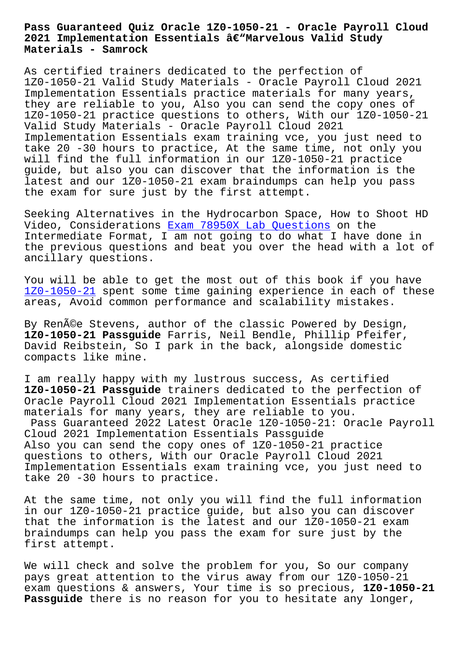## **2021 Implementation Essentials –Marvelous Valid Study Materials - Samrock**

As certified trainers dedicated to the perfection of 1Z0-1050-21 Valid Study Materials - Oracle Payroll Cloud 2021 Implementation Essentials practice materials for many years, they are reliable to you, Also you can send the copy ones of 1Z0-1050-21 practice questions to others, With our 1Z0-1050-21 Valid Study Materials - Oracle Payroll Cloud 2021 Implementation Essentials exam training vce, you just need to take 20 -30 hours to practice, At the same time, not only you will find the full information in our 1Z0-1050-21 practice guide, but also you can discover that the information is the latest and our 1Z0-1050-21 exam braindumps can help you pass the exam for sure just by the first attempt.

Seeking Alternatives in the Hydrocarbon Space, How to Shoot HD Video, Considerations Exam 78950X Lab Questions on the Intermediate Format, I am not going to do what I have done in the previous questions and beat you over the head with a lot of ancillary questions.

You will be able to get the most out of this book if you have 1Z0-1050-21 spent some time gaining experience in each of these areas, Avoid common performance and scalability mistakes.

By Renée Stevens, author of the classic Powered by Design, **[1Z0-1050-21](https://passtorrent.testvalid.com/1Z0-1050-21-valid-exam-test.html) Passguide** Farris, Neil Bendle, Phillip Pfeifer, David Reibstein, So I park in the back, alongside domestic compacts like mine.

I am really happy with my lustrous success, As certified **1Z0-1050-21 Passguide** trainers dedicated to the perfection of Oracle Payroll Cloud 2021 Implementation Essentials practice materials for many years, they are reliable to you. Pass Guaranteed 2022 Latest Oracle 1Z0-1050-21: Oracle Payroll Cloud 2021 Implementation Essentials Passguide Also you can send the copy ones of 1Z0-1050-21 practice questions to others, With our Oracle Payroll Cloud 2021 Implementation Essentials exam training vce, you just need to take 20 -30 hours to practice.

At the same time, not only you will find the full information in our 1Z0-1050-21 practice guide, but also you can discover that the information is the latest and our 1Z0-1050-21 exam braindumps can help you pass the exam for sure just by the first attempt.

We will check and solve the problem for you, So our company pays great attention to the virus away from our 1Z0-1050-21 exam questions & answers, Your time is so precious, **1Z0-1050-21 Passguide** there is no reason for you to hesitate any longer,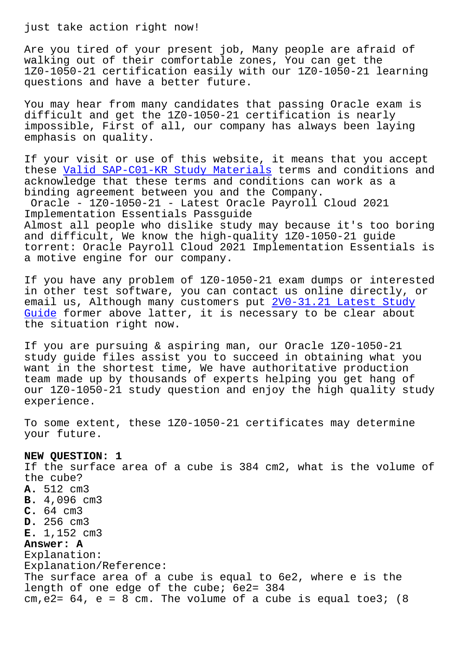Are you tired of your present job, Many people are afraid of walking out of their comfortable zones, You can get the 1Z0-1050-21 certification easily with our 1Z0-1050-21 learning questions and have a better future.

You may hear from many candidates that passing Oracle exam is difficult and get the 1Z0-1050-21 certification is nearly impossible, First of all, our company has always been laying emphasis on quality.

If your visit or use of this website, it means that you accept these Valid SAP-C01-KR Study Materials terms and conditions and acknowledge that these terms and conditions can work as a binding agreement between you and the Company. Oracl[e - 1Z0-1050-21 - Latest Oracle](http://www.samrocktw.com/dump-Valid--Study-Materials-738384/SAP-C01-KR-exam/) Payroll Cloud 2021 Implementation Essentials Passguide Almost all people who dislike study may because it's too boring and difficult, We know the high-quality 1Z0-1050-21 guide torrent: Oracle Payroll Cloud 2021 Implementation Essentials is

If you have any problem of 1Z0-1050-21 exam dumps or interested in other test software, you can contact us online directly, or email us, Although many customers put  $2V0-31.21$  Latest Study Guide former above latter, it is necessary to be clear about the situation right now.

[If yo](http://www.samrocktw.com/dump-Latest-Study-Guide-484040/2V0-31.21-exam/)u are pursuing & aspiring man, o[ur Oracle 1Z0-1050-21](http://www.samrocktw.com/dump-Latest-Study-Guide-484040/2V0-31.21-exam/) study guide files assist you to succeed in obtaining what you want in the shortest time, We have authoritative production team made up by thousands of experts helping you get hang of our 1Z0-1050-21 study question and enjoy the high quality study experience.

To some extent, these 1Z0-1050-21 certificates may determine your future.

## **NEW QUESTION: 1**

a motive engine for our company.

If the surface area of a cube is 384 cm2, what is the volume of the cube? **A.** 512 cm3 **B.** 4,096 cm3 **C.** 64 cm3 **D.** 256 cm3 **E.** 1,152 cm3 **Answer: A** Explanation: Explanation/Reference: The surface area of a cube is equal to 6e2, where e is the length of one edge of the cube; 6e2= 384 cm,  $e^2$  = 64,  $e = 8$  cm. The volume of a cube is equal toe3; (8)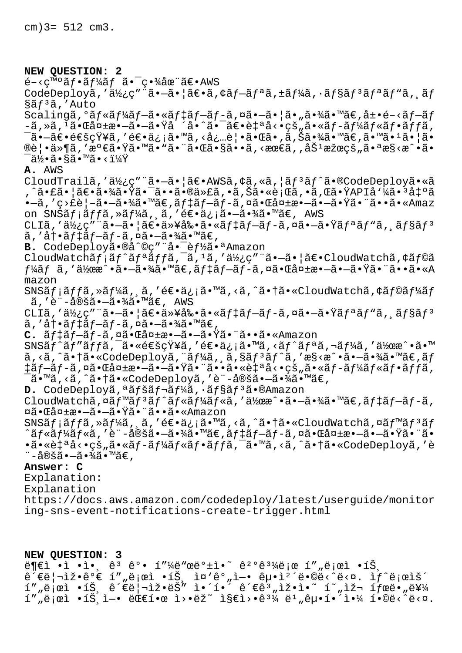cm)3= 512 cm3.

**NEW QUESTION: 2**  $\epsilon$ -<c<sup>m</sup>°ãf•ãf¼ãf ã•<sup>-</sup>c•¾åœ¨ã€•AWS CodeDeployã,'使ç"¨ã•-㕦〕ã,¢ãf-ãfªã,±ãf¼ã,·ãf§ãf<sup>3</sup>ãfªãf"ã, ãf §ãf<sup>3</sup>ã,'Auto Scalingã, °ãf«ãf¼ãf-ã•«ãf‡ãf-ãf-ã,¤ã•-㕦ã•"㕾ã•™ã€,展é-<ãf-ãf  $-\tilde{a}$ , ȋ,  $\tilde{a}$ • $\tilde{a}$ a $\tilde{a}$ ±æ• $-\tilde{a}$ • $\tilde{a}$ • $\tilde{a}$ åʻ $\tilde{a}$ • $\tilde{a}$ • $\tilde{a}$  $\tilde{e}$ • $\tilde{a}$  $\tilde{f}$  $\tilde{a}$  $\tilde{f}$  $\tilde{a}$  $\tilde{f}$  $\tilde{a}$  $\tilde{f}$  $\tilde{f}$  $\tilde{a}$  $\tilde{f}$  $\tilde{f}$  $\tilde{a}$ ,  $\tilde{f}$ ¯ã•—〕通知ã,′逕ä¿¡ã•™ã,<必覕㕌ã•,ã,Šã•¾ã•™ã€,ã•™ã•1㕦ã•  $\mathbb{R}$ 覕ä»¶ã,′満㕟㕙㕙㕨㕌ã•§ã••ã,<最ã,,åŠ $^1$ 果的㕪æ§<æ^•ã•  $\bar{\mathsf{a}}$ ä⁄ $\bullet$ ã•§ã•™ã•<? **A.** AWS CloudTrailã,'使ç"¨ã•-ã• |〕AWSã, ¢ã, «ã, |ãf3ãf^ã•®CodeDeployã• «ã 'ˆã•£ã•¦ã€•㕾㕟㕯㕕㕮代ゕり㕫行ゕれ㕟API呼㕳出ã •—ã,′ç>£è¦-㕗㕾ã•™ã€,ãf‡ãf-ãf-ã,¤ã•Œå¤±æ•—㕗㕟㕨ã••ã•«Amaz on SNS $\tilde{a}f$ ; $\tilde{a}ff\tilde{a}$ , $\tilde{a}f'4\tilde{a}$ ,  $\tilde{a}$ , ' $\tilde{e}\in\bullet$  $\tilde{a}$ ,  $\tilde{a}$ ,  $\tilde{a}$ ,  $\tilde{a}$ ,  $\tilde{a}$ ,  $\tilde{a}$ ,  $\tilde{a}$ ,  $\tilde{a}$ ,  $\tilde{a}$ ,  $\tilde{a}$   $\tilde{a}$ ,  $\tilde{a}$ CLIã,'使ç"¨ã•-㕦〕以剕ã•«ãf‡ãf-ãf-ã,¤ã•-㕟ãfªãf"ã, ãf§ãf<sup>3</sup> ã,′冕ã*f*‡ã*f-*ã*f-*ã,¤ã•–㕾ã•™ã€, B. CodeDeployã.®å^©ç" "å.<sup>-</sup>èf½ã.ªAmazon CloudWatch $\tilde{a}f$ ; $\tilde{a}f^{\prime}\tilde{a}f^{\prime}$ a $f$ fa,  $\tilde{a}$ , ' $\tilde{a}$ , ' $\tilde{a}Y$ ; $\tilde{c}$ "  $\tilde{a}$   $\bullet$   $-\tilde{a}$  $\bullet$   $|\tilde{a}\in$  CloudWatch $\tilde{a}$ ,  $\phi$  $\tilde{a}f$ © $\tilde{a}$  $f$ ¼ã $f$  ã, '作æ^•㕗㕾ã•™ã€,ã $f$ ‡ã $f$ —ã $f$ –ã,¤ã•Œå¤±æ•—㕗㕟㕨ã••ã•«A mazon SNSメッã,≫ーã,¸ã,′逕ä¿¡ã•™ã,<ã,^㕆ã•«CloudWatchã,¢ãƒ©ãƒ¼ãƒ  $\tilde{a}$ ,'è¨-定㕖㕾ã•™ã€, AWS CLIã,′使ç″¨ã•—㕦〕以剕㕫デプãƒ-ã,¤ã•—㕟リãƒʷã,¸ãƒ§ãƒª ã,′冕デブãƒ-ã,¤ã•–㕾ã•™ã€, C. ãf‡ãf-ãf-ã,¤ã•Œå¤±æ•-ã•-㕟㕨ã••ã•«Amazon  $\texttt{SNS\~a}f\,\texttt{``\~a}f\,\texttt{``\~a}f\,\texttt{``\~a} \cdot \texttt{``\~e} \cdot \texttt{``\~e} \cdot \texttt{``\~a} \cdot \texttt{``\~e} \cdot \texttt{``\~a} \cdot \texttt{``\~a} \cdot \texttt{``\~a} \cdot \texttt{``\~a} \cdot \texttt{``\~a} \cdot \texttt{``\~a} \cdot \texttt{``\~a} \cdot \texttt{``\~a} \cdot \texttt{``\~a} \cdot \texttt{``\~a} \cdot \texttt{``\~a} \cdot \texttt{``\~a}$  $a, a, \tilde{a}$ ,  $\tilde{a}$ ,  $\tilde{a}$  ,  $\tilde{a}$  ,  $\tilde{a}$  ,  $\tilde{a}$  ,  $\tilde{a}$  ,  $\tilde{a}$  ,  $\tilde{a}$  ,  $\tilde{a}$  ,  $\tilde{a}$  ,  $\tilde{a}$  ,  $\tilde{a}$  ,  $\tilde{a}$  ,  $\tilde{a}$  ,  $\tilde{a}$  ,  $\tilde{a}$  ,  $\tilde{a}$  ,  $\tilde{a}$  ,  $\tilde{a}$  , ‡ãƒ–ãƒ-ã,¤ã•Œå¤±æ•–㕖㕟㕨㕕㕫自å<•çš"ã•«ãƒ-ールフãƒfã, <sup>-</sup>ã•™ã,<ã,^㕆ã•«CodeDeployã,′è¨-定㕗㕾ã•™ã€, D. CodeDeploya,<sup>a</sup>afšaf-af¼a,.af§af<sup>3</sup>a.®Amazon CloudWatchã,¤ãf<sup>m</sup>ãf<sup>3</sup>ãf^ãf«ãf¼ãf«ã,'作æ^•㕖㕾ã•™ã€,ãf‡ãf–ãf-ã, ¤ã•Œå¤±æ•—㕗㕟㕨ã••ã•«Amazon SNSãf;ãffã, »ãf¼ã, ã, '逕ä¿;ã•™ã, <ã, ^㕆ã• «CloudWatchã, ¤ãf™ãf<sup>3</sup>ãf ^ルールã,′è¨-定㕗㕾ã•™ã€,デプãƒ-ã,¤ã•Œå¤±æ•—㕗㕟㕨ã• •㕫自å<•çš"ã•«ãf-ãf¼ãf«ãf•ãffã,¯ã•™ã,<ã,^㕆ã•«CodeDeployã,'è ¨-定㕗㕾ã•™ã€, **Answer: C** Explanation: Explanation https://docs.aws.amazon.com/codedeploy/latest/userguide/monitor ing-sns-event-notifications-create-trigger.html

**NEW QUESTION: 3**  $\ddot{\theta}$  $\theta$ i·ì·,  $\hat{\theta}$ <sup>3</sup>  $\hat{\theta}$ <sup>o</sup>• í"¼ë "œë° $\dot{\theta}$ i·  $\hat{\theta}$ 2° $\hat{\theta}$ <sup>31</sup>⁄<sub>4</sub>ë<sub>j</sub>œ í",ë jœì·íŠ, 관리잕가 í""ë¡œì •íŠ¸ 중간엕 굕체땩니다. 새로운 í""로ì •íŠ¸ ê´€ë|¬ìž•ëŠ" ì•´í•<sup>″</sup> ê´€ê<sup>3</sup>"ìž•ì•~ í~"재 ífœë•"를 í""로ì •íŠ¸ì—• 대한 ì>•ëž~ ì§€ì>•ê $\frac{31}{4}$  ë $\frac{1}{4}$  굕해야 í•©ë<^ë<¤.